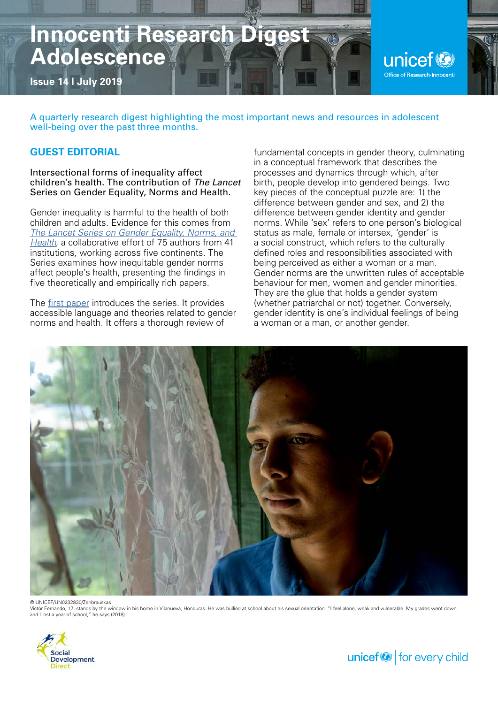# **Innocenti Research Digest Adolescence**

**Issue 14 | July 2019**

unicef<sup>®</sup> Office of Research-Innocenti

A quarterly research digest highlighting the most important news and resources in adolescent well-being over the past three months.

# **GUEST EDITORIAL**

Intersectional forms of inequality affect children's health. The contribution of *The Lancet*  Series on Gender Equality, Norms and Health.

Gender inequality is harmful to the health of both children and adults. Evidence for this comes from *[The Lancet Series on Gender Equality, Norms, and](https://www.thelancet.com/series/gender-equality-norms-health)  [Health](https://www.thelancet.com/series/gender-equality-norms-health)*, a collaborative effort of 75 authors from 41 institutions, working across five continents. The Series examines how inequitable gender norms affect people's health, presenting the findings in five theoretically and empirically rich papers.

The [first paper](https://www.thelancet.com/journals/lancet/article/PIIS0140-6736(19)30652-X/fulltext) introduces the series. It provides accessible language and theories related to gender norms and health. It offers a thorough review of

fundamental concepts in gender theory, culminating in a conceptual framework that describes the processes and dynamics through which, after birth, people develop into gendered beings. Two key pieces of the conceptual puzzle are: 1) the difference between gender and sex, and 2) the difference between gender identity and gender norms. While 'sex' refers to one person's biological status as male, female or intersex, 'gender' is a social construct, which refers to the culturally defined roles and responsibilities associated with being perceived as either a woman or a man. Gender norms are the unwritten rules of acceptable behaviour for men, women and gender minorities. They are the glue that holds a gender system (whether patriarchal or not) together. Conversely, gender identity is one's individual feelings of being a woman or a man, or another gender.



Victor Fernando, 17, stands by the window in his home in Vilanueva, Honduras. He was bullied at school about his sexual orientation. "I feel alone, weak and vulnerable. My grades went down,<br>and I lost a year of school," he



unicef $\bigcirc$  for every child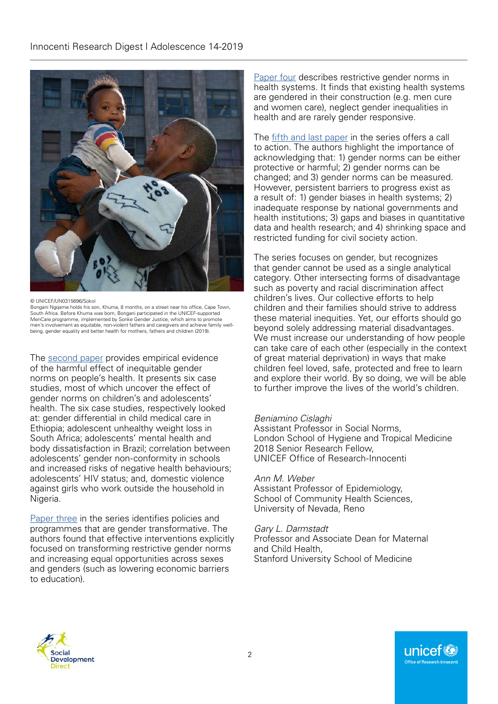

© UNICEF/UN0315696/Sokol

Bongani Ngqame holds his son, Khuma, 8 months, on a street near his office, Cape Town, South Africa. Before Khuma was born, Bongani participated in the UNICEF-supported MenCare programme, implemented by Sonke Gender Justice, which aims to promote men's involvement as equitable, non-violent fathers and caregivers and achieve family well-being, gender equality and better health for mothers, fathers and children (2019).

The [second paper](https://www.thelancet.com/journals/lancet/article/PIIS0140-6736(19)30765-2/fulltext) provides empirical evidence of the harmful effect of inequitable gender norms on people's health. It presents six case studies, most of which uncover the effect of gender norms on children's and adolescents' health. The six case studies, respectively looked at: gender differential in child medical care in Ethiopia; adolescent unhealthy weight loss in South Africa; adolescents' mental health and body dissatisfaction in Brazil; correlation between adolescents' gender non-conformity in schools and increased risks of negative health behaviours; adolescents' HIV status; and, domestic violence against girls who work outside the household in Nigeria.

[Paper three](https://www.thelancet.com/journals/lancet/article/PIIS0140-6736(19)30656-7/fulltext) in the series identifies policies and programmes that are gender transformative. The authors found that effective interventions explicitly focused on transforming restrictive gender norms and increasing equal opportunities across sexes and genders (such as lowering economic barriers to education).

[Paper four](https://www.thelancet.com/journals/lancet/article/PIIS0140-6736(19)30648-8/fulltext) describes restrictive gender norms in health systems. It finds that existing health systems are gendered in their construction (e.g. men cure and women care), neglect gender inequalities in health and are rarely gender responsive.

The [fifth and last paper](https://www.thelancet.com/journals/lancet/article/PIIS0140-6736(19)30651-8/fulltext) in the series offers a call to action. The authors highlight the importance of acknowledging that: 1) gender norms can be either protective or harmful; 2) gender norms can be changed; and 3) gender norms can be measured. However, persistent barriers to progress exist as a result of: 1) gender biases in health systems; 2) inadequate response by national governments and health institutions; 3) gaps and biases in quantitative data and health research; and 4) shrinking space and restricted funding for civil society action.

The series focuses on gender, but recognizes that gender cannot be used as a single analytical category. Other intersecting forms of disadvantage such as poverty and racial discrimination affect children's lives. Our collective efforts to help children and their families should strive to address these material inequities. Yet, our efforts should go beyond solely addressing material disadvantages. We must increase our understanding of how people can take care of each other (especially in the context of great material deprivation) in ways that make children feel loved, safe, protected and free to learn and explore their world. By so doing, we will be able to further improve the lives of the world's children.

#### *Beniamino Cislaghi*

Assistant Professor in Social Norms, London School of Hygiene and Tropical Medicine 2018 Senior Research Fellow, UNICEF Office of Research-Innocenti

#### *Ann M. Weber*

Assistant Professor of Epidemiology, School of Community Health Sciences, University of Nevada, Reno

#### *Gary L. Darmstadt*

Professor and Associate Dean for Maternal and Child Health, Stanford University School of Medicine



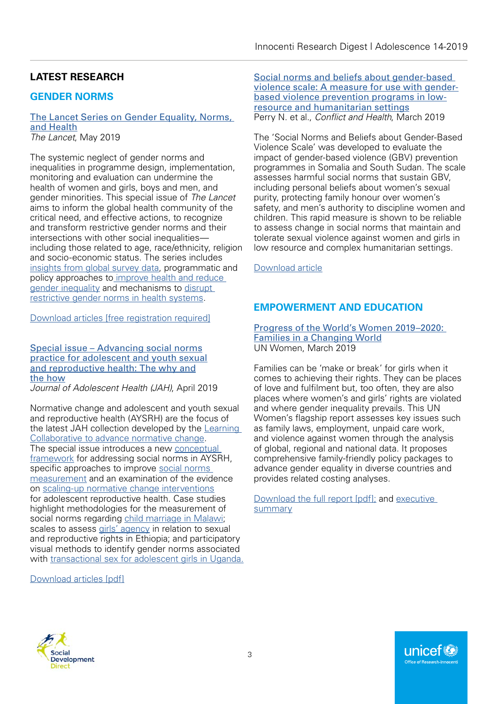# **LATEST RESEARCH**

# **GENDER NORMS**

#### [The Lancet Series on Gender Equality, Norms,](https://www.thelancet.com/series/gender-equality-norms-health)  [and Health](https://www.thelancet.com/series/gender-equality-norms-health) *The Lancet*, May 2019

The systemic neglect of gender norms and inequalities in programme design, implementation, monitoring and evaluation can undermine the health of women and girls, boys and men, and gender minorities. This special issue of *The Lancet* aims to inform the global health community of the critical need, and effective actions, to recognize and transform restrictive gender norms and their intersections with other social inequalities including those related to age, race/ethnicity, religion and socio-economic status. The series includes [insights from global survey data](https://www.thelancet.com/pdfs/journals/lancet/PIIS0140-6736(19)30765-2.pdf), programmatic and policy approaches to [improve health and reduce](https://www.thelancet.com/pdfs/journals/lancet/PIIS0140-6736(19)30656-7.pdf)  [gender](https://www.thelancet.com/pdfs/journals/lancet/PIIS0140-6736(19)30656-7.pdf) inequality and mechanisms to [disrupt](https://www.thelancet.com/pdfs/journals/lancet/PIIS0140-6736(19)30648-8.pdf)  [restrictive gender norms](https://www.thelancet.com/pdfs/journals/lancet/PIIS0140-6736(19)30648-8.pdf) in health systems.

[Download articles \[free registration required\]](https://www.thelancet.com/series/gender-equality-norms-health)

[Special issue – Advancing social norms](https://www.jahonline.org/issue/S1054-139X(19)X0002-6) [practice for adolescent and youth sexual](https://www.jahonline.org/issue/S1054-139X(19)X0002-6) [and reproductive health: The why and](https://www.jahonline.org/issue/S1054-139X(19)X0002-6) [the how](https://www.jahonline.org/issue/S1054-139X(19)X0002-6)

*Journal of Adolescent Health (JAH)*, April 2019

Normative change and adolescent and youth sexual and reproductive health (AYSRH) are the focus of the latest JAH collection developed by the [Learning](http://irh.org/projects/learning-collaborative-to-advance-normative-change/)  [Collaborative to advance normative change](http://irh.org/projects/learning-collaborative-to-advance-normative-change/). The special issue introduces a new [conceptual](https://www.jahonline.org/article/S1054-139X(19)30056-4/fulltext)  [framework](https://www.jahonline.org/article/S1054-139X(19)30056-4/fulltext) for addressing social norms in AYSRH, specific approaches to improve [social norms](https://www.jahonline.org/article/S1054-139X(19)30003-5/fulltext)  [measurement](https://www.jahonline.org/article/S1054-139X(19)30003-5/fulltext) and an examination of the evidence on [scaling-up normative change interventions](https://www.sciencedirect.com/science/article/pii/S1054139X19300096) for adolescent reproductive health. Case studies highlight methodologies for the measurement of social norms regarding [child marriage in Malawi;](https://www.jahonline.org/article/S1054-139X(19)30010-2/fulltext) scales to assess [girls' agency](https://www.jahonline.org/article/S1054-139X(19)30008-4/fulltext) in relation to sexual and reproductive rights in Ethiopia; and participatory visual methods to identify gender norms associated with [transactional sex for adolescent girls in Uganda](https://www.jahonline.org/article/S1054-139X(18)30794-8/fulltext).

[Download articles \[pdf\]](https://www.jahonline.org/issue/S1054-139X(19)X0002-6)

[Social norms and beliefs about gender-based](https://conflictandhealth.biomedcentral.com/articles/10.1186/s13031-019-0189-x)  [violence scale: A measure for use with gender](https://conflictandhealth.biomedcentral.com/articles/10.1186/s13031-019-0189-x)[based violence prevention programs in low](https://conflictandhealth.biomedcentral.com/articles/10.1186/s13031-019-0189-x)[resource and humanitarian settings](https://conflictandhealth.biomedcentral.com/articles/10.1186/s13031-019-0189-x) Perry N. et al., *Conflict and Health*, March 2019

The 'Social Norms and Beliefs about Gender-Based Violence Scale' was developed to evaluate the impact of gender-based violence (GBV) prevention programmes in Somalia and South Sudan. The scale assesses harmful social norms that sustain GBV, including personal beliefs about women's sexual purity, protecting family honour over women's safety, and men's authority to discipline women and children. This rapid measure is shown to be reliable to assess change in social norms that maintain and tolerate sexual violence against women and girls in low resource and complex humanitarian settings.

[Download article](https://conflictandhealth.biomedcentral.com/track/pdf/10.1186/s13031-019-0189-x)

# **EMPOWERMENT AND EDUCATION**

[Progress of the World's Women 2019–2020:](http://www.unwomen.org/en/digital-library/progress-of-the-worlds-women)  [Families in a Changing World](http://www.unwomen.org/en/digital-library/progress-of-the-worlds-women) UN Women, March 2019

Families can be 'make or break' for girls when it comes to achieving their rights. They can be places of love and fulfilment but, too often, they are also places where women's and girls' rights are violated and where gender inequality prevails. This UN Women's flagship report assesses key issues such as family laws, employment, unpaid care work, and violence against women through the analysis of global, regional and national data. It proposes comprehensive family-friendly policy packages to advance gender equality in diverse countries and provides related costing analyses.

[Download the full report \[pdf\];](http://www.unwomen.org/-/media/headquarters/attachments/sections/library/publications/2019/progress-of-the-worlds-women-2019-2020-en.pdf?la=en&vs=3512) and e[xecutive](http://www.unwomen.org/-/media/headquarters/attachments/sections/library/publications/2019/progress-of-the-worlds-women-2019-2020-executive-summary-en.pdf?la=en&vs=3513)  [summary](http://www.unwomen.org/-/media/headquarters/attachments/sections/library/publications/2019/progress-of-the-worlds-women-2019-2020-executive-summary-en.pdf?la=en&vs=3513)

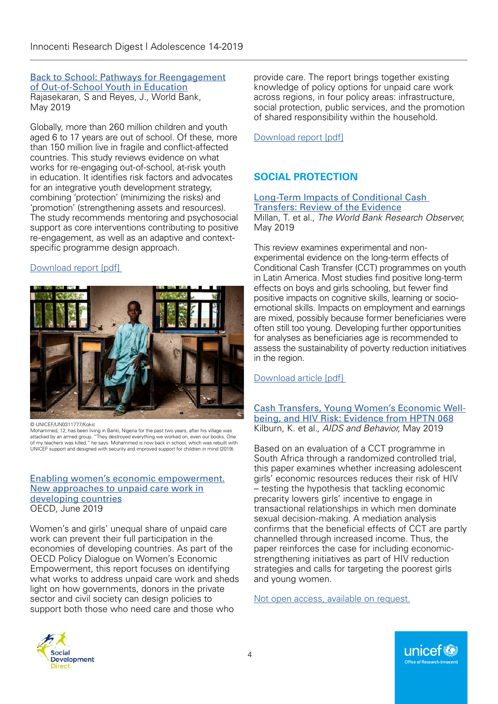#### [Back to School: Pathways for Reengagement](https://openknowledge.worldbank.org/handle/10986/31593) [of Out-of-School Youth in Education](https://openknowledge.worldbank.org/handle/10986/31593) Rajasekaran, S and Reyes, J., World Bank, May 2019

Globally, more than 260 million children and youth aged 6 to 17 years are out of school. Of these, more than 150 million live in fragile and conflict-affected countries. This study reviews evidence on what works for re-engaging out-of-school, at-risk youth in education. It identifies risk factors and advocates for an integrative youth development strategy, combining 'protection' (minimizing the risks) and 'promotion' (strengthening assets and resources). The study recommends mentoring and psychosocial support as core interventions contributing to positive re-engagement, as well as an adaptive and contextspecific programme design approach.

# [Download report \[pdf\]](https://openknowledge.worldbank.org/bitstream/handle/10986/31593/9781464814044.pdf?sequence=2&isAllowed=y)



© UNICEF/UN0311777/Kokic

Mohammed, 12, has been living in Banki, Nigeria for the past two years, after his village was attacked by an armed group. "They destroyed everything we worked on, even our books. One of my teachers was killed," he says. Mohammed is now back in school, which was rebuilt with UNICEF support and designed with security and improved support for children in mind (2019).

#### [Enabling women's economic empowerment.](https://www.oecd.org/dac/enabling-women-s-economic-empowerment-ec90d1b1-en.htm) [New approaches to unpaid care work in](https://www.oecd.org/dac/enabling-women-s-economic-empowerment-ec90d1b1-en.htm) [developing countries](https://www.oecd.org/dac/enabling-women-s-economic-empowerment-ec90d1b1-en.htm) OECD, June 2019

Women's and girls' unequal share of unpaid care work can prevent their full participation in the economies of developing countries. As part of the OECD Policy Dialogue on Women's Economic Empowerment, this report focuses on identifying what works to address unpaid care work and sheds light on how governments, donors in the private sector and civil society can design policies to support both those who need care and those who

provide care. The report brings together existing knowledge of policy options for unpaid care work across regions, in four policy areas: infrastructure, social protection, public services, and the promotion of shared responsibility within the household.

[Download report \[pdf\]](https://read.oecd-ilibrary.org/social-issues-migration-health/enabling-women-s-economic-empowerment_ec90d1b1-en)

# **SOCIAL PROTECTION**

#### [Long-Term Impacts of Conditional Cash](https://academic.oup.com/wbro/article/34/1/119/5492445)  [Transfers: Review of the Evidence](https://academic.oup.com/wbro/article/34/1/119/5492445)

Millan, T. et al., *The World Bank Research Observer*, May 2019

This review examines experimental and nonexperimental evidence on the long-term effects of Conditional Cash Transfer (CCT) programmes on youth in Latin America. Most studies find positive long-term effects on boys and girls schooling, but fewer find positive impacts on cognitive skills, learning or socioemotional skills. Impacts on employment and earnings are mixed, possibly because former beneficiaries were often still too young. Developing further opportunities for analyses as beneficiaries age is recommended to assess the sustainability of poverty reduction initiatives in the region.

# [Download article \[pdf\]](https://academic.oup.com/wbro/article/34/1/119/5492445)

[Cash Transfers, Young Women's Economic Well](https://link.springer.com/article/10.1007/s10461-018-2329-5)[being, and HIV Risk: Evidence from HPTN 068](https://link.springer.com/article/10.1007/s10461-018-2329-5) Kilburn, K. et al*., AIDS and Behavior*, May 2019

Based on an evaluation of a CCT programme in South Africa through a randomized controlled trial, this paper examines whether increasing adolescent girls' economic resources reduces their risk of HIV – testing the hypothesis that tackling economic precarity lowers girls' incentive to engage in transactional relationships in which men dominate sexual decision-making. A mediation analysis confirms that the beneficial effects of CCT are partly channelled through increased income. Thus, the paper reinforces the case for including economicstrengthening initiatives as part of HIV reduction strategies and calls for targeting the poorest girls and young women.

[Not open access, available on request.](mailto:kkilburn@unc.edu)



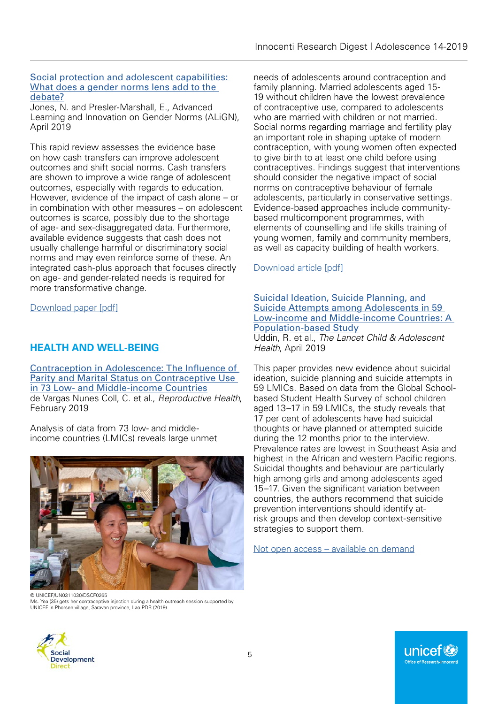#### [Social protection and adolescent capabilities:](https://www.alignplatform.org/social-protection-adolescent-capabilities-and-gender-norms)  [What does a gender norms lens add to the](https://www.alignplatform.org/social-protection-adolescent-capabilities-and-gender-norms)  [debate?](https://www.alignplatform.org/social-protection-adolescent-capabilities-and-gender-norms)

Jones, N. and Presler-Marshall, E., Advanced Learning and Innovation on Gender Norms (ALiGN), April 2019

This rapid review assesses the evidence base on how cash transfers can improve adolescent outcomes and shift social norms. Cash transfers are shown to improve a wide range of adolescent outcomes, especially with regards to education. However, evidence of the impact of cash alone – or in combination with other measures – on adolescent outcomes is scarce, possibly due to the shortage of age- and sex-disaggregated data. Furthermore, available evidence suggests that cash does not usually challenge harmful or discriminatory social norms and may even reinforce some of these. An integrated cash-plus approach that focuses directly on age- and gender-related needs is required for more transformative change.

[Download paper \[pdf\]](https://www.alignplatform.org/sites/default/files/2019-04/social_protection_0.pdf)

# **HEALTH AND WELL-BEING**

[Contraception in Adolescence: The Influence of](https://reproductive-health-journal.biomedcentral.com/articles/10.1186/s12978-019-0686-9)  [Parity and Marital Status on Contraceptive Use](https://reproductive-health-journal.biomedcentral.com/articles/10.1186/s12978-019-0686-9)  [in 73 Low- and Middle-income Countries](https://reproductive-health-journal.biomedcentral.com/articles/10.1186/s12978-019-0686-9) de Vargas Nunes Coll, C. et al., *Reproductive Health*, February 2019

Analysis of data from 73 low- and middleincome countries (LMICs) reveals large unmet



© UNICEF/UN0311030/DSCF0265 Ms. Yea (35) gets her contraceptive injection during a health outreach session supported by UNICEF in Phorsen village, Saravan province, Lao PDR (2019).

needs of adolescents around contraception and family planning. Married adolescents aged 15- 19 without children have the lowest prevalence of contraceptive use, compared to adolescents who are married with children or not married. Social norms regarding marriage and fertility play an important role in shaping uptake of modern contraception, with young women often expected to give birth to at least one child before using contraceptives. Findings suggest that interventions should consider the negative impact of social norms on contraceptive behaviour of female adolescents, particularly in conservative settings. Evidence-based approaches include communitybased multicomponent programmes, with elements of counselling and life skills training of young women, family and community members, as well as capacity building of health workers.

## [Download article \[pdf\]](https://reproductive-health-journal.biomedcentral.com/track/pdf/10.1186/s12978-019-0686-9)

#### [Suicidal Ideation, Suicide Planning, and](https://www.thelancet.com/journals/lanchi/article/PIIS2352-4642(18)30403-6/fulltext)  [Suicide Attempts among Adolescents in 59](https://www.thelancet.com/journals/lanchi/article/PIIS2352-4642(18)30403-6/fulltext)  [Low-income and Middle-income Countries: A](https://www.thelancet.com/journals/lanchi/article/PIIS2352-4642(18)30403-6/fulltext)  [Population-based Study](https://www.thelancet.com/journals/lanchi/article/PIIS2352-4642(18)30403-6/fulltext)

Uddin, R. et al., *The Lancet Child & Adolescent Health*, April 2019

This paper provides new evidence about suicidal ideation, suicide planning and suicide attempts in 59 LMICs. Based on data from the Global Schoolbased Student Health Survey of school children aged 13–17 in 59 LMICs, the study reveals that 17 per cent of adolescents have had suicidal thoughts or have planned or attempted suicide during the 12 months prior to the interview. Prevalence rates are lowest in Southeast Asia and highest in the African and western Pacific regions. Suicidal thoughts and behaviour are particularly high among girls and among adolescents aged 15–17. Given the significant variation between countries, the authors recommend that suicide prevention interventions should identify atrisk groups and then develop context-sensitive strategies to support them.

[Not open access – available on demand](mailto:a.khan2@uq.edu.au)



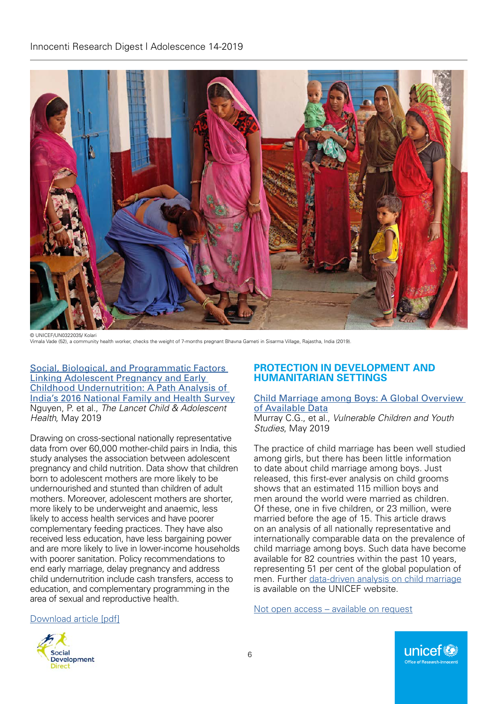

Vimala Vade (52), a community health worker, checks the weight of 7-months pregnant Bhavna Gameti in Sisarma Village, Rajastha, India (2019).

[Social, Biological, and Programmatic Factors](https://www.thelancet.com/journals/lanchi/article/PIIS2352-4642(19)30110-5/fulltext)  [Linking Adolescent Pregnancy and Early](https://www.thelancet.com/journals/lanchi/article/PIIS2352-4642(19)30110-5/fulltext)  [Childhood Undernutrition: A Path Analysis of](https://www.thelancet.com/journals/lanchi/article/PIIS2352-4642(19)30110-5/fulltext)  [India's 2016 National Family and Health Survey](https://www.thelancet.com/journals/lanchi/article/PIIS2352-4642(19)30110-5/fulltext) Nguyen, P. et al., *The Lancet Child & Adolescent Health*, May 2019

Drawing on cross-sectional nationally representative data from over 60,000 mother-child pairs in India, this study analyses the association between adolescent pregnancy and child nutrition. Data show that children born to adolescent mothers are more likely to be undernourished and stunted than children of adult mothers. Moreover, adolescent mothers are shorter, more likely to be underweight and anaemic, less likely to access health services and have poorer complementary feeding practices. They have also received less education, have less bargaining power and are more likely to live in lower-income households with poorer sanitation. Policy recommendations to end early marriage, delay pregnancy and address child undernutrition include cash transfers, access to education, and complementary programming in the area of sexual and reproductive health.

## **PROTECTION IN DEVELOPMENT AND HUMANITARIAN SETTINGS**

#### [Child Marriage among Boys: A Global Overview](https://www.tandfonline.com/doi/abs/10.1080/17450128.2019.1566584?journalCode=rvch20
)  [of Available Data](https://www.tandfonline.com/doi/abs/10.1080/17450128.2019.1566584?journalCode=rvch20
)

Murray C.G., et al., *Vulnerable Children and Youth Studies*, May 2019

The practice of child marriage has been well studied among girls, but there has been little information to date about child marriage among boys. Just released, this first-ever analysis on child grooms shows that an estimated 115 million boys and men around the world were married as children. Of these, one in five children, or 23 million, were married before the age of 15. This article draws on an analysis of all nationally representative and internationally comparable data on the prevalence of child marriage among boys. Such data have become available for 82 countries within the past 10 years, representing 51 per cent of the global population of men. Further [data-driven analysis on](https://unicef.us5.list-manage.com/track/click?u=7088c711be3d9d4f8b0897886&id=d7b090332b&e=c15579d422) child marriage is available on the UNICEF website.

[Not open access – available on request](mailto:cmurray@unicef.org)

#### [Download article \[pdf\]](https://www.thelancet.com/action/showPdf?pii=S2352-4642%2819%2930110-5)



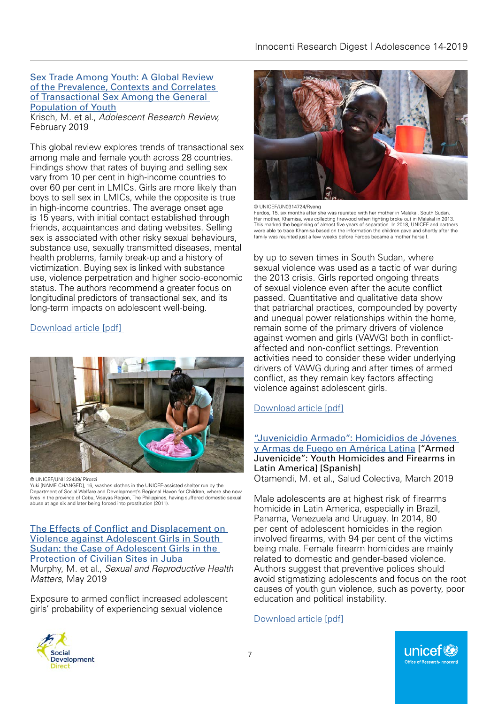#### [Sex Trade Among Youth: A Global Review](https://link.springer.com/article/10.1007/s40894-019-00107-z)  [of the Prevalence, Contexts and Correlates](https://link.springer.com/article/10.1007/s40894-019-00107-z)  [of Transactional Sex Among the General](https://link.springer.com/article/10.1007/s40894-019-00107-z)  [Population of Youth](https://link.springer.com/article/10.1007/s40894-019-00107-z)

Krisch, M. et al., *Adolescent Research Review*, February 2019

This global review explores trends of transactional sex among male and female youth across 28 countries. Findings show that rates of buying and selling sex vary from 10 per cent in high-income countries to over 60 per cent in LMICs. Girls are more likely than boys to sell sex in LMICs, while the opposite is true in high-income countries. The average onset age is 15 years, with initial contact established through friends, acquaintances and dating websites. Selling sex is associated with other risky sexual behaviours, substance use, sexually transmitted diseases, mental health problems, family break-up and a history of victimization. Buying sex is linked with substance use, violence perpetration and higher socio-economic status. The authors recommend a greater focus on longitudinal predictors of transactional sex, and its long-term impacts on adolescent well-being.

# [Download article \[pdf\]](https://link.springer.com/content/pdf/10.1007%2Fs40894-019-00107-z.pdf)



© UNICEF/UNI122439/ Pirozzi

Yuki [NAME CHANGED], 16, washes clothes in the UNICEF-assisted shelter run by the Department of Social Welfare and Development's Regional Haven for Children, where she now lives in the province of Cebu, Visayas Region, The Philippines, having suffered domestic sexual abuse at age six and later being forced into prostitution (2011).

[The Effects of Conflict and Displacement on](https://www.tandfonline.com/doi/full/10.1080/26410397.2019.1601965)  [Violence against Adolescent Girls in South](https://www.tandfonline.com/doi/full/10.1080/26410397.2019.1601965)  [Sudan: the Case of Adolescent Girls in the](https://www.tandfonline.com/doi/full/10.1080/26410397.2019.1601965)  [Protection of Civilian Sites in Juba](https://www.tandfonline.com/doi/full/10.1080/26410397.2019.1601965) Murphy, M. et al., *Sexual and Reproductive Health Matters*, May 2019

Exposure to armed conflict increased adolescent girls' probability of experiencing sexual violence



© UNICEF/UN0314724/Ryeng

Ferdos, 15, six months after she was reunited with her mother in Malakal, South Sudan. Her mother, Khamisa, was collecting firewood when fighting broke out in Malakal in 2013. This marked the beginning of almost five years of separation. In 2018, UNICEF and partners were able to trace Khamisa based on the information the children gave and shortly after the family was reunited just a few weeks before Ferdos became a mother herself.

by up to seven times in South Sudan, where sexual violence was used as a tactic of war during the 2013 crisis. Girls reported ongoing threats of sexual violence even after the acute conflict passed. Quantitative and qualitative data show that patriarchal practices, compounded by poverty and unequal power relationships within the home, remain some of the primary drivers of violence against women and girls (VAWG) both in conflictaffected and non-conflict settings. Prevention activities need to consider these wider underlying drivers of VAWG during and after times of armed conflict, as they remain key factors affecting violence against adolescent girls.

# [Download article \[pdf\]](https://www.tandfonline.com/doi/pdf/10.1080/26410397.2019.1601965?needAccess=true)

["Juvenicidio Armado": Homicidios de Jóvenes](http://revistas.unla.edu.ar/saludcolectiva/article/view/1690)  [y Armas de Fuego en América Latina](http://revistas.unla.edu.ar/saludcolectiva/article/view/1690) ["Armed Juvenicide": Youth Homicides and Firearms in Latin Americal [Spanish] Otamendi, M. et al., Salud Colectiva, March 2019

Male adolescents are at highest risk of firearms homicide in Latin America, especially in Brazil, Panama, Venezuela and Uruguay. In 2014, 80 per cent of adolescent homicides in the region involved firearms, with 94 per cent of the victims being male. Female firearm homicides are mainly related to domestic and gender-based violence. Authors suggest that preventive polices should avoid stigmatizing adolescents and focus on the root causes of youth gun violence, such as poverty, poor education and political instability.

[Download article \[pdf\]](http://revistas.unla.edu.ar/saludcolectiva/article/view/1690/1444)

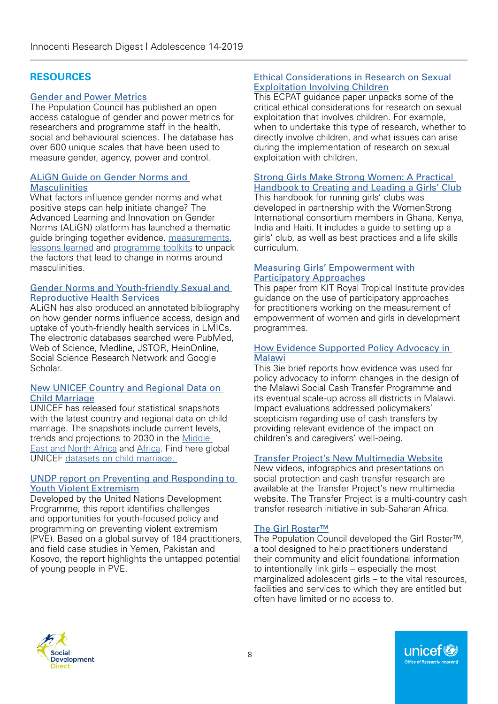# **RESOURCES**

## [Gender and Power Metrics](https://gendermetrics.popcouncil.org/)

The Population Council has published an open access catalogue of gender and power metrics for researchers and programme staff in the health, social and behavioural sciences. The database has over 600 unique scales that have been used to measure gender, agency, power and control.

## [ALiGN Guide on Gender Norms and](https://www.alignplatform.org/masculinities-guide)  **[Masculinities](https://www.alignplatform.org/masculinities-guide)**

What factors influence gender norms and what positive steps can help initiate change? The Advanced Learning and Innovation on Gender Norms (ALiGN) platform has launched a thematic guide bringing together evidence, [measurements](https://www.alignplatform.org/6-measuring-changes-norms-masculinity), [lessons learned](https://www.alignplatform.org/5-key-lessons-learned-programmes) and [programme toolkits](https://www.alignplatform.org/resources/2019/06/toolkits-programmes-gender-norms-and-masculinities) to unpack the factors that lead to change in norms around masculinities.

#### [Gender Norms and Youth-friendly Sexual and](https://www.alignplatform.org/sites/default/files/2019-05/align_annotated_bibliography_web.pdf)  [Reproductive Health Services](https://www.alignplatform.org/sites/default/files/2019-05/align_annotated_bibliography_web.pdf)

ALiGN has also produced an annotated bibliography on how gender norms influence access, design and uptake of youth-friendly health services in LMICs. The electronic databases searched were PubMed, Web of Science, Medline, JSTOR, HeinOnline, Social Science Research Network and Google Scholar.

#### [New UNICEF Country and Regional Data on](https://unicef.us5.list-manage.com/track/click?u=7088c711be3d9d4f8b0897886&id=d7b090332b&e=c15579d422)  [Child Marriage](https://unicef.us5.list-manage.com/track/click?u=7088c711be3d9d4f8b0897886&id=d7b090332b&e=c15579d422)

UNICEF has released four statistical snapshots with the latest country and regional data on child marriage. The snapshots include current levels, trends and projections to 2030 in the [Middle](https://unicef.us5.list-manage.com/track/click?u=7088c711be3d9d4f8b0897886&id=2460709822&e=c15579d422)  [East and North Africa](https://unicef.us5.list-manage.com/track/click?u=7088c711be3d9d4f8b0897886&id=2460709822&e=c15579d422) and [Africa.](https://unicef.us5.list-manage.com/track/click?u=7088c711be3d9d4f8b0897886&id=d0e5c14c76&e=c15579d422) Find here global UNICEF datasets on [child marriage.](https://unicef.us5.list-manage.com/track/click?u=7088c711be3d9d4f8b0897886&id=d7b090332b&e=c15579d422)

#### [UNDP report on Preventing and Responding to](https://www.undp.org/content/undp/en/home/librarypage/democratic-governance/frontlines.html)  [Youth Violent Extremism](https://www.undp.org/content/undp/en/home/librarypage/democratic-governance/frontlines.html)

Developed by the United Nations Development Programme, this report identifies challenges and opportunities for youth-focused policy and programming on preventing violent extremism (PVE). Based on a global survey of 184 practitioners, and field case studies in Yemen, Pakistan and Kosovo, the report highlights the untapped potential of young people in PVE.

## [Ethical Considerations in Research on Sexual](https://www.ecpat.org/wp-content/uploads/2019/04/ECPAT-International-Issues-Paper-Ethical-Considerations-Sexual-Exploitation-Children.pdf)  [Exploitation Involving Children](https://www.ecpat.org/wp-content/uploads/2019/04/ECPAT-International-Issues-Paper-Ethical-Considerations-Sexual-Exploitation-Children.pdf)

This ECPAT guidance paper unpacks some of the critical ethical considerations for research on sexual exploitation that involves children. For example, when to undertake this type of research, whether to directly involve children, and what issues can arise during the implementation of research on sexual exploitation with children.

#### [Strong Girls Make Strong Women: A Practical](https://www.womenstrong.org/publications/stronggirls)  [Handbook to Creating and Leading a Girls' Club](https://www.womenstrong.org/publications/stronggirls)

This handbook for running girls' clubs was developed in partnership with the WomenStrong International consortium members in Ghana, Kenya, India and Haiti. It includes a guide to setting up a girls' club, as well as best practices and a life skills curriculum.

#### [Measuring Girls' Empowerment with](https://www.kit.nl/ensuring-the-participation-of-women-and-girls-in-the-measurement-of-empowerment/)  [Participatory Approaches](https://www.kit.nl/ensuring-the-participation-of-women-and-girls-in-the-measurement-of-empowerment/)

This paper from KIT Royal Tropical Institute provides guidance on the use of participatory approaches for practitioners working on the measurement of empowerment of women and girls in development programmes.

## [How Evidence Supported Policy Advocacy in](https://www.3ieimpact.org/sites/default/files/2019-04/Malawi-ultra-poor-evidence-use-web.pdf)  [Malawi](https://www.3ieimpact.org/sites/default/files/2019-04/Malawi-ultra-poor-evidence-use-web.pdf)

This 3ie brief reports how evidence was used for policy advocacy to inform changes in the design of the Malawi Social Cash Transfer Programme and its eventual scale-up across all districts in Malawi. Impact evaluations addressed policymakers' scepticism regarding use of cash transfers by providing relevant evidence of the impact on children's and caregivers' well-being.

# [Transfer Project's New Multimedia Website](https://transfer.cpc.unc.edu/multimedia/)

New videos, infographics and presentations on social protection and cash transfer research are available at the Transfer Project's new multimedia website. The Transfer Project is a multi-country cash transfer research initiative in sub-Saharan Africa.

# [The Girl Roster™](https://www.popcouncil.org/research/girl-roster)

The Population Council developed the Girl Roster™, a tool designed to help practitioners understand their community and elicit foundational information to intentionally link girls – especially the most marginalized adolescent girls – to the vital resources, facilities and services to which they are entitled but often have limited or no access to.

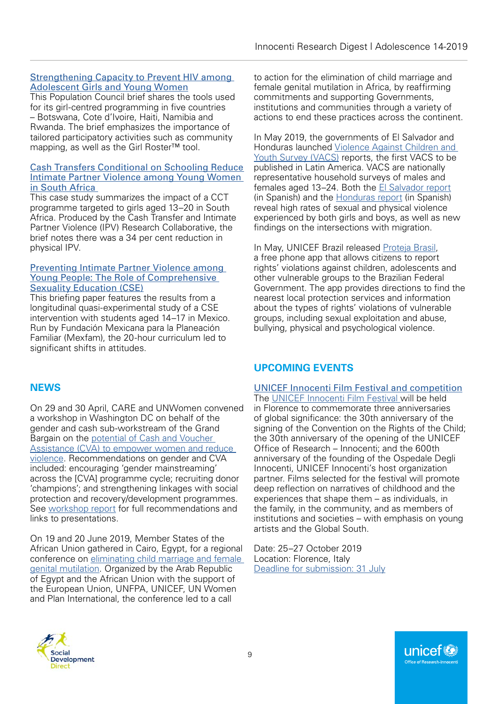## [Strengthening Capacity to Prevent HIV among](http://www.projsoar.org/wp-content/uploads/2019/03/Glbl_DREAMS_TA_FinalBrief.pdf)  [Adolescent Girls and Young Women](http://www.projsoar.org/wp-content/uploads/2019/03/Glbl_DREAMS_TA_FinalBrief.pdf)

This Population Council brief shares the tools used for its girl-centred programming in five countries – Botswana, Cote d'Ivoire, Haiti, Namibia and Rwanda. The brief emphasizes the importance of tailored participatory activities such as community mapping, as well as the Girl Roster™ tool.

#### [Cash Transfers Conditional on Schooling Reduce](http://ebrary.ifpri.org/cdm/ref/collection/p15738coll2/id/133157)  Intimate Partner Violence among Young Women [in South Africa](http://ebrary.ifpri.org/cdm/ref/collection/p15738coll2/id/133157)

This case study summarizes the impact of a CCT programme targeted to girls aged 13–20 in South Africa. Produced by the Cash Transfer and Intimate Partner Violence (IPV) Research Collaborative, the brief notes there was a 34 per cent reduction in physical IPV.

#### [Preventing Intimate Partner Violence among](https://www.alignplatform.org/sites/default/files/2019-03/preventing_intimate_partner_violence.pdf)  [Young People: The Role of Comprehensive](https://www.alignplatform.org/sites/default/files/2019-03/preventing_intimate_partner_violence.pdf)  [Sexuality Education \(CSE\)](https://www.alignplatform.org/sites/default/files/2019-03/preventing_intimate_partner_violence.pdf)

This briefing paper features the results from a longitudinal quasi-experimental study of a CSE intervention with students aged 14–17 in Mexico. Run by Fundación Mexicana para la Planeación Familiar (Mexfam), the 20-hour curriculum led to significant shifts in attitudes.

#### to action for the elimination of child marriage and female genital mutilation in Africa, by reaffirming commitments and supporting Governments, institutions and communities through a variety of actions to end these practices across the continent.

In May 2019, the governments of El Salvador and Honduras launched [Violence Against Children and](https://www.togetherforgirls.org/elsalvador-vacs-launch/?fbclid=IwAR00Rof54h1CRTrhUqHWtMj4OipiaFhq9wvrWmuO9PL54jGt--wYfRyXGNM)  [Youth Survey \(VACS\)](https://www.togetherforgirls.org/elsalvador-vacs-launch/?fbclid=IwAR00Rof54h1CRTrhUqHWtMj4OipiaFhq9wvrWmuO9PL54jGt--wYfRyXGNM) reports, the first VACS to be published in Latin America. VACS are nationally representative household surveys of males and females aged 13–24. Both the [El Salvador report](https://www.togetherforgirls.org/wp-content/uploads/VACS-Reporte-ESA-22-MAYO.pdf) (in Spanish) and the [Honduras report](https://www.togetherforgirls.org/wp-content/uploads/VACS-Reporte-8-MAYO.pdf) (in Spanish) reveal high rates of sexual and physical violence experienced by both girls and boys, as well as new findings on the intersections with migration.

In May, UNICEF Brazil released [Proteja Brasil](http://www.protejabrasil.com.br/br/), a free phone app that allows citizens to report rights' violations against children, adolescents and other vulnerable groups to the Brazilian Federal Government. The app provides directions to find the nearest local protection services and information about the types of rights' violations of vulnerable groups, including sexual exploitation and abuse, bullying, physical and psychological violence.

# **UPCOMING EVENTS**

# **NEWS**

On 29 and 30 April, CARE and UNWomen convened a workshop in Washington DC on behalf of the gender and cash sub-workstream of the Grand Bargain on the [potential of Cash and Voucher](http://www.cashlearning.org/resources/library/1344-the-potential-of-cash-and-voucher-assistance-to-empower-women-and-reduce-violence-evidence?keywords=®ion=all&country=all&year=all&organisation=all§or=all&modality=all&language=all&payment_method=all&document_type=all&searched=1)  [Assistance \(CVA\) to empower women and reduce](http://www.cashlearning.org/resources/library/1344-the-potential-of-cash-and-voucher-assistance-to-empower-women-and-reduce-violence-evidence?keywords=®ion=all&country=all&year=all&organisation=all§or=all&modality=all&language=all&payment_method=all&document_type=all&searched=1)  [violence.](http://www.cashlearning.org/resources/library/1344-the-potential-of-cash-and-voucher-assistance-to-empower-women-and-reduce-violence-evidence?keywords=®ion=all&country=all&year=all&organisation=all§or=all&modality=all&language=all&payment_method=all&document_type=all&searched=1) Recommendations on gender and CVA included: encouraging 'gender mainstreaming' across the [CVA] programme cycle; recruiting donor 'champions'; and strengthening linkages with social protection and recovery/development programmes. See [workshop report](http://www.cashlearning.org/downloads/user-submitted-resources/2019/05/1557938198.Gender_CVA_DC%20workshop%20report_final.pdf) for full recommendations and links to presentations.

On 19 and 20 June 2019, Member States of the African Union gathered in Cairo, Egypt, for a regional conference on [eliminating child marriage and female](https://egypt.unfpa.org/en/news/statement-unfpa-unicef-joint-programme-elimination-female-genital-mutilation-launching-egypts-0)  [genital mutilation.](https://egypt.unfpa.org/en/news/statement-unfpa-unicef-joint-programme-elimination-female-genital-mutilation-launching-egypts-0) Organized by the Arab Republic of Egypt and the African Union with the support of the European Union, UNFPA, UNICEF, UN Women and Plan International, the conference led to a call

# [UNICEF Innocenti Film Festival and competition](https://unicef-irc.us19.list-manage.com/track/click?u=f937215443b10c82ef8ffabf1&id=ba8d19196b&e=934239abe1)

The [UNICEF Innocenti Film Festival w](https://unicef-irc.us19.list-manage.com/track/click?u=f937215443b10c82ef8ffabf1&id=3aea249b53&e=934239abe1)ill be held in Florence to commemorate three anniversaries of global significance: the 30th anniversary of the signing of the Convention on the Rights of the Child: the 30th anniversary of the opening of the UNICEF Office of Research – Innocenti; and the 600th anniversary of the founding of the Ospedale Degli Innocenti, UNICEF Innocenti's host organization partner. Films selected for the festival will promote deep reflection on narratives of childhood and the experiences that shape them – as individuals, in the family, in the community, and as members of institutions and societies – with emphasis on young artists and the Global South.

Date: 25–27 October 2019 Location: Florence, Italy [Deadline for submission: 31 July](https://unicef-irc.us19.list-manage.com/track/click?u=f937215443b10c82ef8ffabf1&id=5a1947bc0e&e=934239abe1)

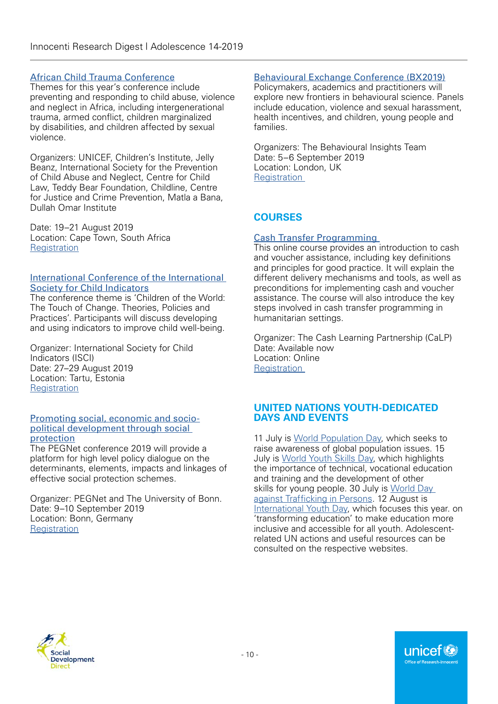## [African Child Trauma Conference](https://www.childtraumaconferenceafrica.org/)

Themes for this year's conference include preventing and responding to child abuse, violence and neglect in Africa, including intergenerational trauma, armed conflict, children marginalized by disabilities, and children affected by sexual violence.

Organizers: UNICEF, Children's Institute, Jelly Beanz, International Society for the Prevention of Child Abuse and Neglect, Centre for Child Law, Teddy Bear Foundation, Childline, Centre for Justice and Crime Prevention, Matla a Bana, Dullah Omar Institute

Date: 19–21 August 2019 Location: Cape Town, South Africa **[Registration](https://www.childtraumaconferenceafrica.org/contact-us)** 

#### [International Conference of the International](http://www.isci2019.org/about/)  [Society for Child Indicators](http://www.isci2019.org/about/)

The conference theme is 'Children of the World: The Touch of Change. Theories, Policies and Practices'. Participants will discuss developing and using indicators to improve child well-being.

Organizer: International Society for Child Indicators (ISCI) Date: 27–29 August 2019 Location: Tartu, Estonia **[Registration](http://www.isci2019.org/registration/)** 

#### [Promoting social, economic and socio](https://www.pegnet.ifw-kiel.de/conferences/promoting-social-economic-and-socio-political-development-through-social-protection/)[political development through social](https://www.pegnet.ifw-kiel.de/conferences/promoting-social-economic-and-socio-political-development-through-social-protection/)  **[protection](https://www.pegnet.ifw-kiel.de/conferences/promoting-social-economic-and-socio-political-development-through-social-protection/)**

The PEGNet conference 2019 will provide a platform for high level policy dialogue on the determinants, elements, impacts and linkages of effective social protection schemes.

Organizer: PEGNet and The University of Bonn. Date: 9–10 September 2019 Location: Bonn, Germany **[Registration](https://conferencemonkey.org/conference/call-for-papers-pegnet-conference-2019-1377896)** 

## [Behavioural Exchange Conference \(BX2019\)](https://www.bx2019.com/)

Policymakers, academics and practitioners will explore new frontiers in behavioural science. Panels include education, violence and sexual harassment, health incentives, and children, young people and families.

Organizers: The Behavioural Insights Team Date: 5–6 September 2019 Location: London, UK **Registration** 

# **COURSES**

## [Cash Transfer Programming](https://kayaconnect.org/course/info.php?id=496)

This online course provides an introduction to cash and voucher assistance, including key definitions and principles for good practice. It will explain the different delivery mechanisms and tools, as well as preconditions for implementing cash and voucher assistance. The course will also introduce the key steps involved in cash transfer programming in humanitarian settings.

Organizer: The Cash Learning Partnership (CaLP) Date: Available now Location: Online **Registration** 

## **UNITED NATIONS YOUTH-DEDICATED DAYS AND EVENTS**

11 July is [World Population Day,](https://www.un.org/en/events/populationday/) which seeks to raise awareness of global population issues. 15 July is [World Youth Skills Day](http://www.un.org/en/events/youthskillsday/), which highlights the importance of technical, vocational education and training and the development of other skills for young people. 30 July is [World Day](http://www.un.org/en/events/humantrafficking/)  [against Trafficking in Persons](http://www.un.org/en/events/humantrafficking/). 12 August is [International Youth Day](https://nationaltoday.com/international-youth-day/), which focuses this year. on 'transforming education' to make education more inclusive and accessible for all youth. Adolescentrelated UN actions and useful resources can be consulted on the respective websites.

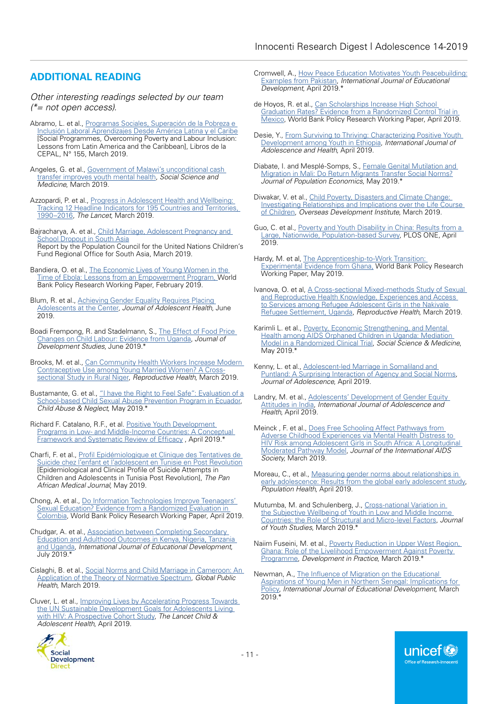# **ADDITIONAL READING**

*Other interesting readings selected by our team (\*= not open access).* 

- Abramo, L. et al., [Programas Sociales, Superación de la Pobreza e](https://www.cepal.org/en/publications/44622-social-programmes-poverty-eradication-and-labour-inclusion-lessons-latin-america)  [Inclusión Laboral Aprendizajes Desde América](https://www.cepal.org/en/publications/44622-social-programmes-poverty-eradication-and-labour-inclusion-lessons-latin-america) Latina y el Caribe [Social Programmes, Overcoming Poverty and Labour Inclusion: Lessons from Latin America and the Caribbean], Libros de la CEPAL, N° 155, March 2019.
- Angeles, G. et al., Government of Malawi's unconditional cash [transfer improves youth mental health](https://www.sciencedirect.com/science/article/pii/S0277953619300310?utm_source=Transfer+Project+Newsletter&utm_campaign=c1c85001f4-EMAIL_CAMPAIGN_2018_05_31_05_28_COPY_01&utm_medium=email&utm_term=0_f21d91e46d-c1c85001f4-70129693), *Social Science and Medicine*, March 2019.
- Azzopardi, P. et al., [Progress in Adolescent Health and Wellbeing:](https://www.thelancet.com/action/showPdf?pii=S0140-6736%2818%2932427-9)  [Tracking 12 Headline Indicators for 195 Countries and Territories,](https://www.thelancet.com/action/showPdf?pii=S0140-6736%2818%2932427-9)  [1990–2016](https://www.thelancet.com/action/showPdf?pii=S0140-6736%2818%2932427-9), *The Lancet*, March 2019.
- Bajracharya, A. et al., Child Marriage, Adolescent Pregnancy and **[School Dropout in South Asia](https://www.unicef.org/rosa/media/3096/file/UNICEF_ROSA_Child_marriage_adolescent_pregnancy_3May2019.pdf)** Report by the Population Council for the United Nations Children's Fund Regional Office for South Asia, March 2019.
- Bandiera, O. et al., [The Economic Lives of Young Women in the](https://openknowledge.worldbank.org/handle/10986/31337)  [Time of Ebola: Lessons from an Empowerment Program,](https://openknowledge.worldbank.org/handle/10986/31337) World Bank Policy Research Working Paper, February 2019.
- Blum, R. et al., [Achieving Gender Equality Requires Placing](https://www.jahonline.org/article/S1054-139X(19)30110-7/fulltext)  [Adolescents at the Center,](https://www.jahonline.org/article/S1054-139X(19)30110-7/fulltext) *Journal of Adolescent Health*, June 2019.
- Boadi Frempong, R. and Stadelmann, S., [The Effect of Food Price](https://www.tandfonline.com/doi/full/10.1080/00220388.2018.1448066)  [Changes on Child Labour: Evidence from Uganda](https://www.tandfonline.com/doi/full/10.1080/00220388.2018.1448066), *Journal of Development Studies*, June 2019.\*
- Brooks, M. et al., [Can Community Health Workers Increase Modern](https://reproductive-health-journal.biomedcentral.com/articles/10.1186/s12978-019-0701-1)  [Contraceptive Use among Young Married Women? A Cross](https://reproductive-health-journal.biomedcentral.com/articles/10.1186/s12978-019-0701-1)[sectional Study in Rural Niger,](https://reproductive-health-journal.biomedcentral.com/articles/10.1186/s12978-019-0701-1) *Reproductive Health*, March 2019.
- Bustamante, G. et al., "I have the Right to Feel Safe": Evaluation of a [School-based Child Sexual Abuse Prevention Program in Ecuador,](https://www.sciencedirect.com/science/article/abs/pii/S0145213419300663) *Child Abuse & Neglect*, May 2019.\*
- Richard F. Catalano, R.F., et al. [Positive Youth Development](https://www.jahonline.org/article/S1054-139X(08)00470-9/abstract)  [Programs in Low- and Middle-Income Countries: A Conceptual](https://www.jahonline.org/article/S1054-139X(08)00470-9/abstract)  [Framework and Systematic Review of Efficacy](https://www.jahonline.org/article/S1054-139X(08)00470-9/abstract) , April 2019.\*
- Charfi, F. et al., [Profil Epidémiologique et Clinique des Tentatives de](http://www.panafrican-med-journal.com/content/article/32/204/full/)  [Suicide chez l'enfant et l'adolescent en Tunisie en Post Revolution](http://www.panafrican-med-journal.com/content/article/32/204/full/) [Epidemiological and Clinical Profile of Suicide Attempts in Children and Adolescents in Tunisia Post Revolution], *The Pan African Medical Journal*, May 2019.
- Chong, A. et al., [Do Information Technologies Improve Teenagers'](http://documents.worldbank.org/curated/en/936401555505751901/Do-Information-Technologies-Improve-Teenagers-Sexual-Education-Evidence-from-a-Randomized-Evaluation-in-Colombia)  [Sexual Education? Evidence from a Randomized Evaluation in](http://documents.worldbank.org/curated/en/936401555505751901/Do-Information-Technologies-Improve-Teenagers-Sexual-Education-Evidence-from-a-Randomized-Evaluation-in-Colombia)  [Colombia,](http://documents.worldbank.org/curated/en/936401555505751901/Do-Information-Technologies-Improve-Teenagers-Sexual-Education-Evidence-from-a-Randomized-Evaluation-in-Colombia) World Bank Policy Research Working Paper, April 2019.
- Chudgar, A. et al., [Association between Completing Secondary](https://www.sciencedirect.com/science/article/pii/S0738059318306308)  [Education and Adulthood Outcomes in Kenya, Nigeria, Tanzania](https://www.sciencedirect.com/science/article/pii/S0738059318306308)  [and Uganda](https://www.sciencedirect.com/science/article/pii/S0738059318306308), *International Journal of Educational Development*, July 2019.\*
- Cislaghi, B. et al., [Social Norms and Child Marriage in Cameroon: An](https://www.tandfonline.com/doi/pdf/10.1080/17441692.2019.1594331?needAccess=true)  [Application of the Theory of Normative Spectrum,](https://www.tandfonline.com/doi/pdf/10.1080/17441692.2019.1594331?needAccess=true) *Global Public Health*, March 2019.
- Cluver, L. et al., [Improving Lives by Accelerating Progress Towards](https://www.thelancet.com/action/showPdf?pii=S2352-4642%2819%2930033-1)  [the UN Sustainable Development Goals for Adolescents Living](https://www.thelancet.com/action/showPdf?pii=S2352-4642%2819%2930033-1)  [with HIV: A Prospective Cohort Study,](https://www.thelancet.com/action/showPdf?pii=S2352-4642%2819%2930033-1) *The Lancet Child & Adolescent Health*, April 2019.
- Cromwell, A., [How Peace Education Motivates Youth Peacebuilding:](https://www.sciencedirect.com/science/article/pii/S0738059318305388) [Examples from Pakistan,](https://www.sciencedirect.com/science/article/pii/S0738059318305388) *International Journal of Educational Development*, April 2019.\*
- de Hoyos, R. et al., [Can Scholarships Increase High School](http://documents.worldbank.org/curated/en/976601555936652424/Can-Scholarships-Increase-High-School-Graduation-Rates-Evidence-from-A-Randomized-Control-Trial-in-Mexico)  [Graduation Rates? Evidence from a Randomized Control Trial in](http://documents.worldbank.org/curated/en/976601555936652424/Can-Scholarships-Increase-High-School-Graduation-Rates-Evidence-from-A-Randomized-Control-Trial-in-Mexico)  [Mexico,](http://documents.worldbank.org/curated/en/976601555936652424/Can-Scholarships-Increase-High-School-Graduation-Rates-Evidence-from-A-Randomized-Control-Trial-in-Mexico) World Bank Policy Research Working Paper, April 2019.
- Desie, Y., From Surviving to Thriving: Characterizing Positive Youth [Development among Youth in Ethiopia](https://www.tandfonline.com/doi/pdf/10.1080/02673843.2019.1608272?needAccess=true), *International Journal of Adolescence and Health*, April 2019.
- Diabate, I. and Mesplé-Somps, S., [Female Genital Mutilation and](https://link.springer.com/article/10.1007/s00148-019-00733-w)  [Migration in Mali: Do Return Migrants Transfer Social Norms?](https://link.springer.com/article/10.1007/s00148-019-00733-w) *Journal of Population Economics*, May 2019.\*
- Diwakar, V. et al., [Child Poverty, Disasters and Climate Change:](https://www.odi.org/publications/11281-child-poverty-disasters-and-climate-change-investigating-relationships-and-implications-over-life)  [Investigating Relationships and Implications over the Life Course](https://www.odi.org/publications/11281-child-poverty-disasters-and-climate-change-investigating-relationships-and-implications-over-life)  [of Children,](https://www.odi.org/publications/11281-child-poverty-disasters-and-climate-change-investigating-relationships-and-implications-over-life) *Overseas Development Institute*, March 2019.
- Guo, C. et al., [Poverty and Youth Disability in China: Results from a](https://journals.plos.org/plosone/article/file?id=10.1371/journal.pone.0215851&type=printable)  [Large, Nationwide, Population-based Survey,](https://journals.plos.org/plosone/article/file?id=10.1371/journal.pone.0215851&type=printable) PLOS ONE, April 2019.
- Hardy, M. et al, The Apprenticeship-to-Work Transition: **[Experimental Evidence from Ghana,](http://documents.worldbank.org/curated/en/835751557408824890/The-Apprenticeship-to-Work-Transition-Experimental-Evidence-from-Ghana) World Bank Policy Research** Working Paper, May 2019.
- Ivanova, O. et al, [A Cross-sectional Mixed-methods Study of Sexual](https://reproductive-health-journal.biomedcentral.com/track/pdf/10.1186/s12978-019-0698-5)  [and Reproductive Health Knowledge, Experiences and Access](https://reproductive-health-journal.biomedcentral.com/track/pdf/10.1186/s12978-019-0698-5)  [to Services among Refugee Adolescent Girls in the Nakivale](https://reproductive-health-journal.biomedcentral.com/track/pdf/10.1186/s12978-019-0698-5)  [Refugee Settlement, Uganda,](https://reproductive-health-journal.biomedcentral.com/track/pdf/10.1186/s12978-019-0698-5) *Reproductive Health*, March 2019.
- Karimli L. et al., [Poverty, Economic Strengthening, and Mental](https://www.sciencedirect.com/science/article/abs/pii/S027795361930139X)  [Health among AIDS Orphaned Children in Uganda: Mediation](https://www.sciencedirect.com/science/article/abs/pii/S027795361930139X)  [Model in a Randomized Clinical Trial,](https://www.sciencedirect.com/science/article/abs/pii/S027795361930139X) *Social Science & Medicine*, May 2019.\*
- Kenny, L. et al., [Adolescent-led Marriage in Somaliland and](https://reader.elsevier.com/reader/sd/pii/S0140197119300405?token=27AE88899CF4908606D08507BC9E8452DBE35625B634F28DCDD1321F57163C08C7EACEC4E15A536648016F4AF53516D7)  [Puntland: A Surprising Interaction of Agency and Social Norms,](https://reader.elsevier.com/reader/sd/pii/S0140197119300405?token=27AE88899CF4908606D08507BC9E8452DBE35625B634F28DCDD1321F57163C08C7EACEC4E15A536648016F4AF53516D7) *Journal of Adolescence*, April 2019.
- Landry, M. et al., Adolescents' Development of Gender Equity [Attitudes in India](https://www.tandfonline.com/doi/pdf/10.1080/02673843.2019.1590852?needAccess=true), *International Journal of Adolescence and Health*, April 2019.
- Meinck , F. et al., [Does Free Schooling Affect Pathways from](https://onlinelibrary.wiley.com/doi/epdf/10.1002/jia2.25262)  [Adverse Childhood Experiences via Mental Health Distress to](https://onlinelibrary.wiley.com/doi/epdf/10.1002/jia2.25262)  [HIV Risk among Adolescent Girls in South Africa: A Longitudinal](https://onlinelibrary.wiley.com/doi/epdf/10.1002/jia2.25262)  [Moderated Pathway Model](https://onlinelibrary.wiley.com/doi/epdf/10.1002/jia2.25262), *Journal of the International AIDS Society*, March 2019.
- Moreau, C., et al., [Measuring gender norms about relationships in](https://www.sciencedirect.com/science/article/pii/S2352827318302222)  [early adolescence: Results from the global early adolescent study](https://www.sciencedirect.com/science/article/pii/S2352827318302222), *Population Health*, April 2019.
- Mutumba, M. and Schulenberg, J., Cross-national Variation in [the Subjective Wellbeing of Youth in Low and Middle Income](https://www.tandfonline.com/doi/full/10.1080/13676261.2019.1597257)  [Countries: the Role of Structural and Micro-level Factors,](https://www.tandfonline.com/doi/full/10.1080/13676261.2019.1597257) *Journal of Youth Studies*, March 2019.\*
- Naiim Fuseini, M. et al., [Poverty Reduction in Upper West Region,](https://www.tandfonline.com/doi/full/10.1080/09614524.2019.1586833)  [Ghana: Role of the Livelihood Empowerment Against Poverty](https://www.tandfonline.com/doi/full/10.1080/09614524.2019.1586833)  [Programme](https://www.tandfonline.com/doi/full/10.1080/09614524.2019.1586833), *Development in Practice*, March 2019.\*
- Newman, A., [The Influence of Migration on the Educational](https://www.sciencedirect.com/science/article/pii/S073805931830275X)  [Aspirations of Young Men in Northern Senegal: Implications for](https://www.sciencedirect.com/science/article/pii/S073805931830275X)  [Policy,](https://www.sciencedirect.com/science/article/pii/S073805931830275X) *International Journal of Educational Development*, March 2019.\*

unicef®